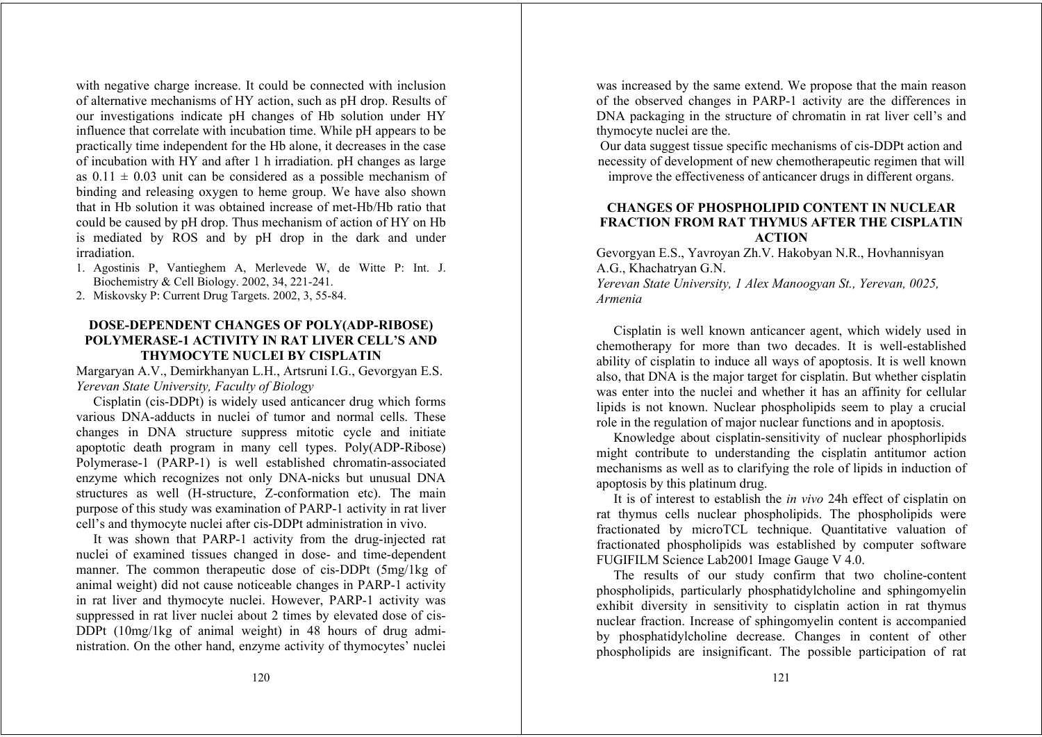with negative charge increase. It could be connected with inclusion of alternative mechanisms of HY action, such as pH drop. Results of our investigations indicate pH changes of Hb solution under HY influence that correlate with incubation time. While pH appears to be practically time independent for the Hb alone, it decreases in the case of incubation with HY and after 1 h irradiation. pH changes as large as  $0.11 \pm 0.03$  unit can be considered as a possible mechanism of binding and releasing oxygen to heme group. We have also shown that in Hb solution it was obtained increase of met-Hb/Hb ratio that could be caused by pH drop. Thus mechanism of action of HY on Hb is mediated by ROS and by pH drop in the dark and under irradiation.

- 1. Agostinis P, Vantieghem A, Merlevede W, de Witte P: Int. J. Biochemistry & Cell Biology. 2002, 34, 221-241.
- 2. Miskovsky P: Current Drug Targets. 2002, 3, 55-84.

# **DOSE-DEPENDENT CHANGES OF POLY(ADP-RIBOSE) POLYMERASE-1 ACTIVITY IN RAT LIVER CELL'S AND THYMOCYTE NUCLEI BY CISPLATIN**

Margaryan A.V., Demirkhanyan L.H., Artsruni I.G., Gevorgyan E.S. *Yerevan State University, Faculty of Biology* 

Cisplatin (cis-DDPt) is widely used anticancer drug which forms various DNA-adducts in nuclei of tumor and normal cells. These changes in DNA structure suppress mitotic cycle and initiate apoptotic death program in many cell types. Poly(ADP-Ribose) Polymerase-1 (PARP-1) is well established chromatin-associated enzyme which recognizes not only DNA-nicks but unusual DNA structures as well (H-structure, Z-conformation etc). The main purpose of this study was examination of PARP-1 activity in rat liver cell's and thymocyte nuclei after cis-DDPt administration in vivo.

It was shown that PARP-1 activity from the drug-injected rat nuclei of examined tissues changed in dose- and time-dependent manner. The common therapeutic dose of cis-DDPt (5mg/1kg of animal weight) did not cause noticeable changes in PARP-1 activity in rat liver and thymocyte nuclei. However, PARP-1 activity was suppressed in rat liver nuclei about 2 times by elevated dose of cis-DDPt (10mg/1kg of animal weight) in 48 hours of drug administration. On the other hand, enzyme activity of thymocytes' nuclei was increased by the same extend. We propose that the main reason of the observed changes in PARP-1 activity are the differences in DNA packaging in the structure of chromatin in rat liver cell's and thymocyte nuclei are the.

Our data suggest tissue specific mechanisms of cis-DDPt action and necessity of development of new chemotherapeutic regimen that will improve the effectiveness of anticancer drugs in different organs.

# **CHANGES OF PHOSPHOLIPID CONTENT IN NUCLEAR FRACTION FROM RAT THYMUS AFTER THE CISPLATIN ACTION**

Gevorgyan E.S., Yavroyan Zh.V. Hakobyan N.R., Hovhannisyan A.G., Khachatryan G.N.

*Yerevan State University, 1 Alex Manoogyan St., Yerevan, 0025, Armenia*

Cisplatin is well known anticancer agent, which widely used in chemotherapy for more than two decades. It is well-established ability of cisplatin to induce all ways of apoptosis. It is well known also, that DNA is the major target for cisplatin. But whether cisplatin was enter into the nuclei and whether it has an affinity for cellular lipids is not known. Nuclear phospholipids seem to play a crucial role in the regulation of major nuclear functions and in apoptosis.

Knowledge about cisplatin-sensitivity of nuclear phosphorlipids might contribute to understanding the cisplatin antitumor action mechanisms as well as to clarifying the role of lipids in induction of apoptosis by this platinum drug.

It is of interest to establish the *in vivo* 24h effect of cisplatin on rat thymus cells nuclear phospholipids. The phospholipids were fractionated by microTCL technique. Quantitative valuation of fractionated phospholipids was established by computer software FUGIFILM Science Lab2001 Image Gauge V 4.0.

The results of our study confirm that two choline-content phospholipids, particularly phosphatidylcholine and sphingomyelin exhibit diversity in sensitivity to cisplatin action in rat thymus nuclear fraction. Increase of sphingomyelin content is accompanied by phosphatidylcholine decrease. Changes in content of other phospholipids are insignificant. The possible participation of rat